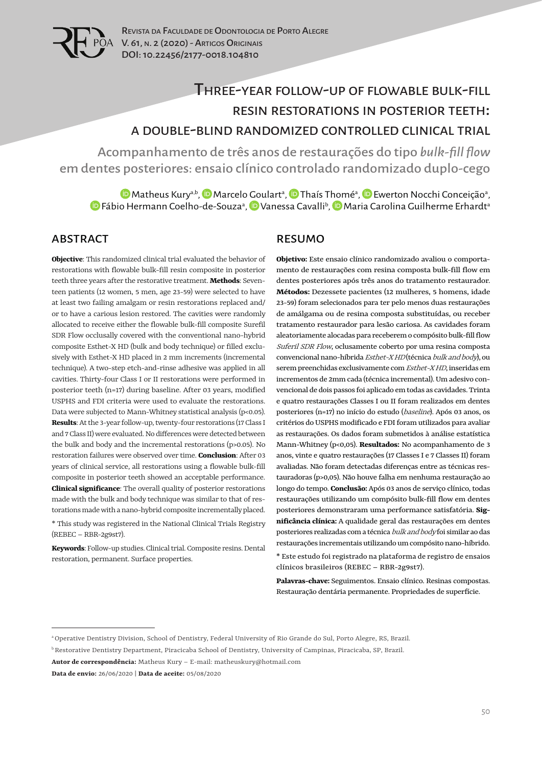

# Three-year follow-up of flowable bulk-fill resin restorations in posterior teeth: a double-blind randomized controlled clinical trial

Acompanhamento de três anos de restaurações do tipo *bulk-fill flow* em dentes posteriores: ensaio clínico controlado randomizado duplo-cego

[M](https://orcid.org/0000-0002-9971-0568)atheus Kury<sup>a,b</sup>, �� [M](https://orcid.org/0000-0002-6006-9339)arcelo Goulart<sup>a</sup>, �� Thaís T[hom](https://orcid.org/0000-0003-4389-5281)é<sup>a</sup>, �� [E](https://orcid.org/0000-0002-8507-2411)werton Nocchi Conceição<sup>a</sup>, [F](https://orcid.org/0000-0001-5484-4602)ábio Hermann Coelho-de-Souzaª, D [V](https://orcid.org/0000-0002-9459-1926)anessa Cavalli<sup>b</sup>, D Maria Carolina Guilherme Erhardtª

### ABSTRACT

**Objective**: This randomized clinical trial evaluated the behavior of restorations with flowable bulk-fill resin composite in posterior teeth three years after the restorative treatment. **Methods**: Seventeen patients (12 women, 5 men, age 23-59) were selected to have at least two failing amalgam or resin restorations replaced and/ or to have a carious lesion restored. The cavities were randomly allocated to receive either the flowable bulk-fill composite Surefil SDR Flow occlusally covered with the conventional nano-hybrid composite Esthet-X HD (bulk and body technique) or filled exclusively with Esthet-X HD placed in 2 mm increments (incremental technique). A two-step etch-and-rinse adhesive was applied in all cavities. Thirty-four Class I or II restorations were performed in posterior teeth (n=17) during baseline. After 03 years, modified USPHS and FDI criteria were used to evaluate the restorations. Data were subjected to Mann-Whitney statistical analysis (p<0.05). **Results**: At the 3-year follow-up, twenty-four restorations (17 Class I and 7 Class II) were evaluated. No differences were detected between the bulk and body and the incremental restorations (p>0.05). No restoration failures were observed over time. **Conclusion**: After 03 years of clinical service, all restorations using a flowable bulk-fill composite in posterior teeth showed an acceptable performance. **Clinical significance**: The overall quality of posterior restorations made with the bulk and body technique was similar to that of restorations made with a nano-hybrid composite incrementally placed. \* This study was registered in the National Clinical Trials Registry (REBEC – RBR-2g9st7).

**Keywords**: Follow-up studies. Clinical trial. Composite resins. Dental restoration, permanent. Surface properties.

#### RESUMO

**Objetivo:** Este ensaio clínico randomizado avaliou o comportamento de restaurações com resina composta bulk-fill flow em dentes posteriores após três anos do tratamento restaurador. **Métodos:** Dezessete pacientes (12 mulheres, 5 homens, idade 23-59) foram selecionados para ter pelo menos duas restaurações de amálgama ou de resina composta substituídas, ou receber tratamento restaurador para lesão cariosa. As cavidades foram aleatoriamente alocadas para receberem o compósito bulk-fill flow Suferil SDR Flow, oclusamente coberto por uma resina composta convencional nano-híbrida Esthet-X HD (técnica bulk and body), ou serem preenchidas exclusivamente com Esthet-X HD, inseridas em incrementos de 2mm cada (técnica incremental). Um adesivo convencional de dois passos foi aplicado em todas as cavidades. Trinta e quatro restaurações Classes I ou II foram realizados em dentes posteriores (n=17) no início do estudo (baseline). Após 03 anos, os critérios do USPHS modificado e FDI foram utilizados para avaliar as restaurações. Os dados foram submetidos à análise estatística Mann-Whitney (p<0,05). **Resultados:** No acompanhamento de 3 anos, vinte e quatro restaurações (17 Classes I e 7 Classes II) foram avaliadas. Não foram detectadas diferenças entre as técnicas restauradoras (p>0,05). Não houve falha em nenhuma restauração ao longo do tempo. **Conclusão:** Após 03 anos de serviço clínico, todas restaurações utilizando um compósito bulk-fill flow em dentes posteriores demonstraram uma performance satisfatória. **Significância clínica:** A qualidade geral das restaurações em dentes posteriores realizadas com a técnica bulk and body foi similar ao das restaurações incrementais utilizando um compósito nano-híbrido. \* Este estudo foi registrado na plataforma de registro de ensaios clínicos brasileiros (REBEC – RBR-2g9st7).

**Palavras-chave:** Seguimentos. Ensaio clínico. Resinas compostas. Restauração dentária permanente. Propriedades de superfície.

a Operative Dentistry Division, School of Dentistry, Federal University of Rio Grande do Sul, Porto Alegre, RS, Brazil.

b Restorative Dentistry Department, Piracicaba School of Dentistry, University of Campinas, Piracicaba, SP, Brazil.

**Autor de correspondência:** Matheus Kury – E-mail: matheuskury@hotmail.com

**Data de envio:** 26/06/2020 **| Data de aceite:** 05/08/2020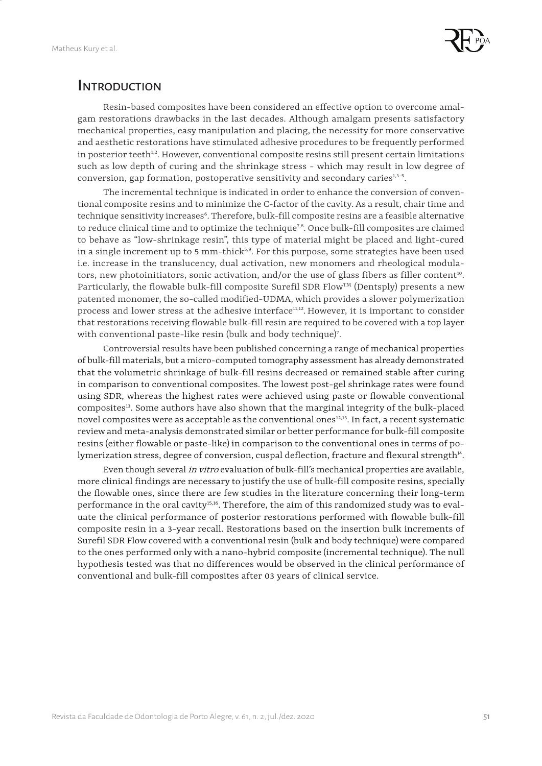

### **INTRODUCTION**

Resin-based composites have been considered an effective option to overcome amalgam restorations drawbacks in the last decades. Although amalgam presents satisfactory mechanical properties, easy manipulation and placing, the necessity for more conservative and aesthetic restorations have stimulated adhesive procedures to be frequently performed in posterior teeth $h^2$ . However, conventional composite resins still present certain limitations such as low depth of curing and the shrinkage stress - which may result in low degree of conversion, gap formation, postoperative sensitivity and secondary caries $3.3-5$ .

The incremental technique is indicated in order to enhance the conversion of conventional composite resins and to minimize the C-factor of the cavity. As a result, chair time and technique sensitivity increases<sup>6</sup>. Therefore, bulk-fill composite resins are a feasible alternative to reduce clinical time and to optimize the technique<sup>7,8</sup>. Once bulk-fill composites are claimed to behave as "low-shrinkage resin", this type of material might be placed and light-cured in a single increment up to 5 mm-thick $5.9$ . For this purpose, some strategies have been used i.e. increase in the translucency, dual activation, new monomers and rheological modulators, new photoinitiators, sonic activation, and/or the use of glass fibers as filler content<sup>10</sup>. Particularly, the flowable bulk-fill composite Surefil SDR Flow™ (Dentsply) presents a new patented monomer, the so-called modified-UDMA, which provides a slower polymerization process and lower stress at the adhesive interface<sup>11,12</sup>. However, it is important to consider that restorations receiving flowable bulk-fill resin are required to be covered with a top layer with conventional paste-like resin (bulk and body technique)<sup>7</sup>.

Controversial results have been published concerning a range of mechanical properties of bulk-fill materials, but a micro-computed tomography assessment has already demonstrated that the volumetric shrinkage of bulk-fill resins decreased or remained stable after curing in comparison to conventional composites. The lowest post-gel shrinkage rates were found using SDR, whereas the highest rates were achieved using paste or flowable conventional composites13. Some authors have also shown that the marginal integrity of the bulk-placed novel composites were as acceptable as the conventional ones<sup>12,13</sup>. In fact, a recent systematic review and meta-analysis demonstrated similar or better performance for bulk-fill composite resins (either flowable or paste-like) in comparison to the conventional ones in terms of polymerization stress, degree of conversion, cuspal deflection, fracture and flexural strength<sup>14</sup>.

Even though several in vitro evaluation of bulk-fill's mechanical properties are available, more clinical findings are necessary to justify the use of bulk-fill composite resins, specially the flowable ones, since there are few studies in the literature concerning their long-term performance in the oral cavity<sup>15,16</sup>. Therefore, the aim of this randomized study was to evaluate the clinical performance of posterior restorations performed with flowable bulk-fill composite resin in a 3-year recall. Restorations based on the insertion bulk increments of Surefil SDR Flow covered with a conventional resin (bulk and body technique) were compared to the ones performed only with a nano-hybrid composite (incremental technique). The null hypothesis tested was that no differences would be observed in the clinical performance of conventional and bulk-fill composites after 03 years of clinical service.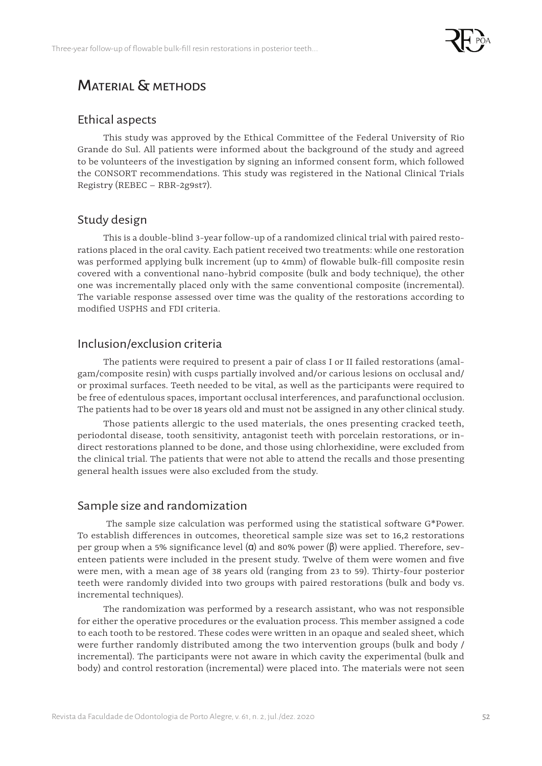

## Material & methods

#### Ethical aspects

This study was approved by the Ethical Committee of the Federal University of Rio Grande do Sul. All patients were informed about the background of the study and agreed to be volunteers of the investigation by signing an informed consent form, which followed the CONSORT recommendations. This study was registered in the National Clinical Trials Registry (REBEC – RBR-2g9st7).

### Study design

This is a double-blind 3-year follow-up of a randomized clinical trial with paired restorations placed in the oral cavity. Each patient received two treatments: while one restoration was performed applying bulk increment (up to 4mm) of flowable bulk-fill composite resin covered with a conventional nano-hybrid composite (bulk and body technique), the other one was incrementally placed only with the same conventional composite (incremental). The variable response assessed over time was the quality of the restorations according to modified USPHS and FDI criteria.

### Inclusion/exclusion criteria

The patients were required to present a pair of class I or II failed restorations (amalgam/composite resin) with cusps partially involved and/or carious lesions on occlusal and/ or proximal surfaces. Teeth needed to be vital, as well as the participants were required to be free of edentulous spaces, important occlusal interferences, and parafunctional occlusion. The patients had to be over 18 years old and must not be assigned in any other clinical study.

Those patients allergic to the used materials, the ones presenting cracked teeth, periodontal disease, tooth sensitivity, antagonist teeth with porcelain restorations, or indirect restorations planned to be done, and those using chlorhexidine, were excluded from the clinical trial. The patients that were not able to attend the recalls and those presenting general health issues were also excluded from the study.

### Sample size and randomization

 The sample size calculation was performed using the statistical software G\*Power. To establish differences in outcomes, theoretical sample size was set to 16,2 restorations per group when a 5% significance level  $(α)$  and 80% power  $(β)$  were applied. Therefore, seventeen patients were included in the present study. Twelve of them were women and five were men, with a mean age of 38 years old (ranging from 23 to 59). Thirty-four posterior teeth were randomly divided into two groups with paired restorations (bulk and body vs. incremental techniques).

The randomization was performed by a research assistant, who was not responsible for either the operative procedures or the evaluation process. This member assigned a code to each tooth to be restored. These codes were written in an opaque and sealed sheet, which were further randomly distributed among the two intervention groups (bulk and body / incremental). The participants were not aware in which cavity the experimental (bulk and body) and control restoration (incremental) were placed into. The materials were not seen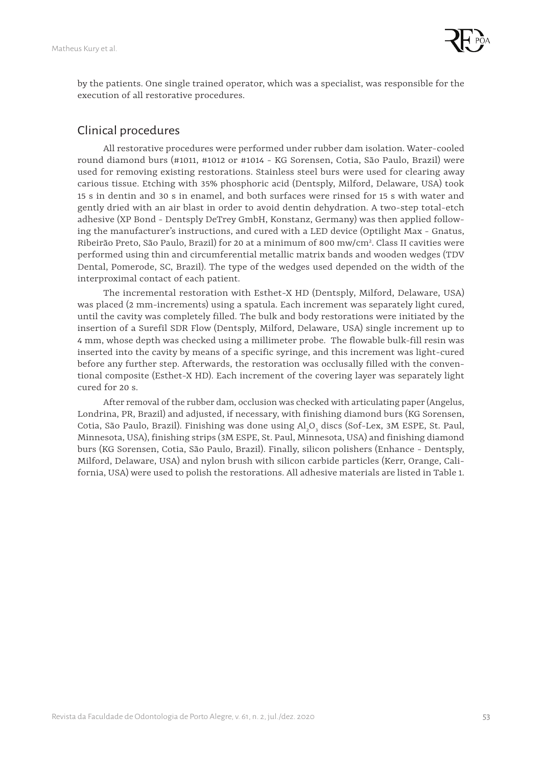

by the patients. One single trained operator, which was a specialist, was responsible for the execution of all restorative procedures.

### Clinical procedures

All restorative procedures were performed under rubber dam isolation. Water-cooled round diamond burs (#1011, #1012 or #1014 - KG Sorensen, Cotia, São Paulo, Brazil) were used for removing existing restorations. Stainless steel burs were used for clearing away carious tissue. Etching with 35% phosphoric acid (Dentsply, Milford, Delaware, USA) took 15 s in dentin and 30 s in enamel, and both surfaces were rinsed for 15 s with water and gently dried with an air blast in order to avoid dentin dehydration. A two-step total-etch adhesive (XP Bond - Dentsply DeTrey GmbH, Konstanz, Germany) was then applied following the manufacturer's instructions, and cured with a LED device (Optilight Max - Gnatus, Ribeirão Preto, São Paulo, Brazil) for 20 at a minimum of 800 mw/cm2 . Class II cavities were performed using thin and circumferential metallic matrix bands and wooden wedges (TDV Dental, Pomerode, SC, Brazil). The type of the wedges used depended on the width of the interproximal contact of each patient.

The incremental restoration with Esthet-X HD (Dentsply, Milford, Delaware, USA) was placed (2 mm-increments) using a spatula. Each increment was separately light cured, until the cavity was completely filled. The bulk and body restorations were initiated by the insertion of a Surefil SDR Flow (Dentsply, Milford, Delaware, USA) single increment up to 4 mm, whose depth was checked using a millimeter probe. The flowable bulk-fill resin was inserted into the cavity by means of a specific syringe, and this increment was light-cured before any further step. Afterwards, the restoration was occlusally filled with the conventional composite (Esthet-X HD). Each increment of the covering layer was separately light cured for 20 s.

After removal of the rubber dam, occlusion was checked with articulating paper (Angelus, Londrina, PR, Brazil) and adjusted, if necessary, with finishing diamond burs (KG Sorensen, Cotia, São Paulo, Brazil). Finishing was done using  $Al_2O_3$  discs (Sof-Lex, 3M ESPE, St. Paul, Minnesota, USA), finishing strips (3M ESPE, St. Paul, Minnesota, USA) and finishing diamond burs (KG Sorensen, Cotia, São Paulo, Brazil). Finally, silicon polishers (Enhance - Dentsply, Milford, Delaware, USA) and nylon brush with silicon carbide particles (Kerr, Orange, California, USA) were used to polish the restorations. All adhesive materials are listed in Table 1.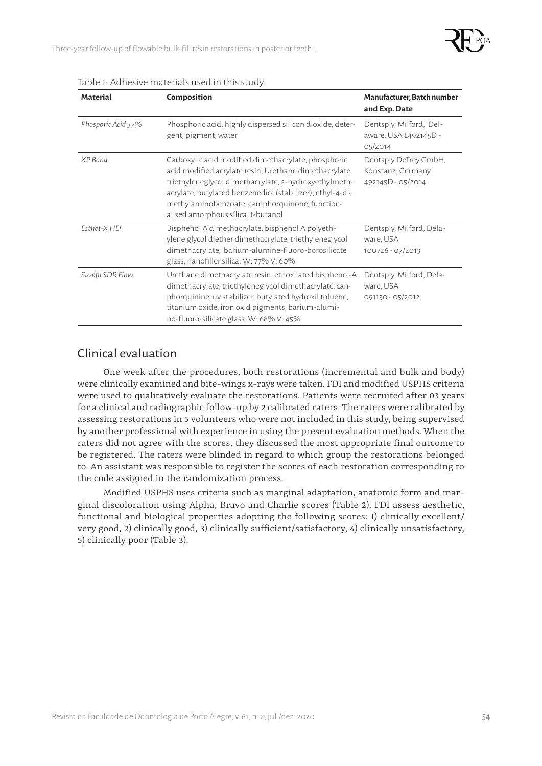

| <b>Material</b>    | Composition                                                                                                                                                                                                                                                                                                                 | Manufacturer, Batch number<br>and Exp. Date                     |
|--------------------|-----------------------------------------------------------------------------------------------------------------------------------------------------------------------------------------------------------------------------------------------------------------------------------------------------------------------------|-----------------------------------------------------------------|
| Phosporic Acid 37% | Phosphoric acid, highly dispersed silicon dioxide, deter-<br>gent, pigment, water                                                                                                                                                                                                                                           | Dentsply, Milford, Del-<br>aware, USA L492145D -<br>05/2014     |
| XP Bond            | Carboxylic acid modified dimethacrylate, phosphoric<br>acid modified acrylate resin, Urethane dimethacrylate,<br>triethyleneglycol dimethacrylate, 2-hydroxyethylmeth-<br>acrylate, butylated benzenediol (stabilizer), ethyl-4-di-<br>methylaminobenzoate, camphorquinone, function-<br>alised amorphous sílica, t-butanol | Dentsply DeTrey GmbH,<br>Konstanz, Germany<br>492145D - 05/2014 |
| Fsthet-X HD        | Bisphenol A dimethacrylate, bisphenol A polyeth-<br>ylene glycol diether dimethacrylate, triethyleneglycol<br>dimethacrylate, barium-alumine-fluoro-borosilicate<br>glass, nanofiller silica. W: 77% V: 60%                                                                                                                 | Dentsply, Milford, Dela-<br>ware, USA<br>100726 - 07/2013       |
| Surefil SDR Flow   | Urethane dimethacrylate resin, ethoxilated bisphenol-A<br>dimethacrylate, triethyleneglycol dimethacrylate, can-<br>phorquinine, uv stabilizer, butylated hydroxil toluene,<br>titanium oxide, iron oxid pigments, barium-alumi-<br>no-fluoro-silicate glass. W: 68% V: 45%                                                 | Dentsply, Milford, Dela-<br>ware, USA<br>091130 - 05/2012       |

Table 1: Adhesive materials used in this study.

### Clinical evaluation

One week after the procedures, both restorations (incremental and bulk and body) were clinically examined and bite-wings x-rays were taken. FDI and modified USPHS criteria were used to qualitatively evaluate the restorations. Patients were recruited after 03 years for a clinical and radiographic follow-up by 2 calibrated raters. The raters were calibrated by assessing restorations in 5 volunteers who were not included in this study, being supervised by another professional with experience in using the present evaluation methods. When the raters did not agree with the scores, they discussed the most appropriate final outcome to be registered. The raters were blinded in regard to which group the restorations belonged to. An assistant was responsible to register the scores of each restoration corresponding to the code assigned in the randomization process.

Modified USPHS uses criteria such as marginal adaptation, anatomic form and marginal discoloration using Alpha, Bravo and Charlie scores (Table 2). FDI assess aesthetic, functional and biological properties adopting the following scores: 1) clinically excellent/ very good, 2) clinically good, 3) clinically sufficient/satisfactory, 4) clinically unsatisfactory, 5) clinically poor (Table 3).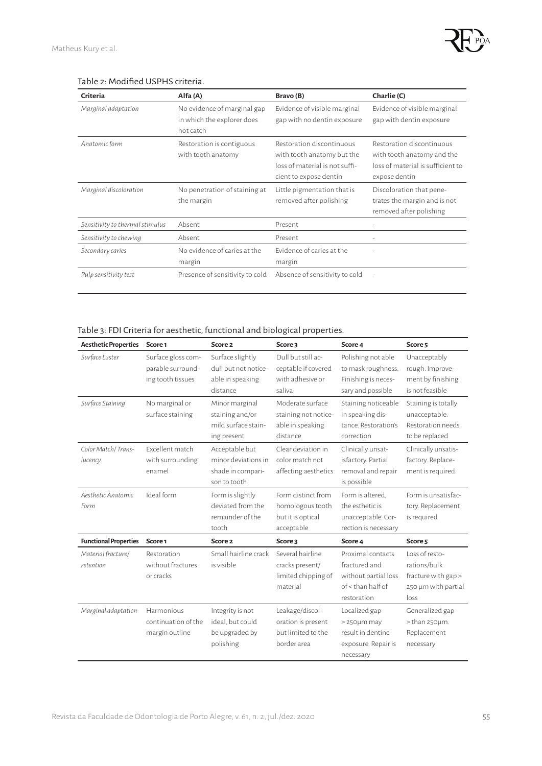

#### Table 2: Modified USPHS criteria.

| Criteria                        | Alfa (A)                                                               | Bravo (B)                                                                                                           | Charlie (C)                                                                                                   |
|---------------------------------|------------------------------------------------------------------------|---------------------------------------------------------------------------------------------------------------------|---------------------------------------------------------------------------------------------------------------|
| Marginal adaptation             | No evidence of marginal gap<br>in which the explorer does<br>not catch | Evidence of visible marginal<br>gap with no dentin exposure                                                         | Evidence of visible marginal<br>gap with dentin exposure                                                      |
| Anatomic form                   | Restoration is contiguous<br>with tooth anatomy                        | Restoration discontinuous<br>with tooth anatomy but the<br>loss of material is not suffi-<br>cient to expose dentin | Restoration discontinuous<br>with tooth anatomy and the<br>loss of material is sufficient to<br>expose dentin |
| Marginal discoloration          | No penetration of staining at<br>the margin                            | Little pigmentation that is<br>removed after polishing                                                              | Discoloration that pene-<br>trates the margin and is not<br>removed after polishing                           |
| Sensitivity to thermal stimulus | Absent                                                                 | Present                                                                                                             |                                                                                                               |
| Sensitivity to chewing          | Absent                                                                 | Present                                                                                                             |                                                                                                               |
| Secondary caries                | No evidence of caries at the<br>margin                                 | Evidence of caries at the<br>margin                                                                                 |                                                                                                               |
| Pulp sensitivity test           | Presence of sensitivity to cold                                        | Absence of sensitivity to cold                                                                                      |                                                                                                               |

#### Table 3: FDI Criteria for aesthetic, functional and biological properties.

| <b>Aesthetic Properties</b>     | Score <sub>1</sub>                                           | Score <sub>2</sub>                                                         | Score 3                                                                    | Score 4                                                                                          | Score <sub>5</sub>                                                                   |
|---------------------------------|--------------------------------------------------------------|----------------------------------------------------------------------------|----------------------------------------------------------------------------|--------------------------------------------------------------------------------------------------|--------------------------------------------------------------------------------------|
| Surface Luster                  | Surface gloss com-<br>parable surround-<br>ing tooth tissues | Surface slightly<br>dull but not notice-<br>able in speaking<br>distance   | Dull but still ac-<br>ceptable if covered<br>with adhesive or<br>saliya    | Polishing not able<br>to mask roughness.<br>Finishing is neces-<br>sary and possible             | Unacceptably<br>rough. Improve-<br>ment by finishing<br>is not feasible              |
| Surface Staining                | No marginal or<br>surface staining                           | Minor marginal<br>staining and/or<br>mild surface stain-<br>ing present    | Moderate surface<br>staining not notice-<br>able in speaking<br>distance   | Staining noticeable<br>in speaking dis-<br>tance. Restoration's<br>correction                    | Staining is totally<br>unacceptable.<br>Restoration needs<br>to be replaced          |
| Color Match/Trans-<br>lucency   | Excellent match<br>with surrounding<br>enamel                | Acceptable but<br>minor deviations in<br>shade in compari-<br>son to tooth | Clear deviation in<br>color match not<br>affecting aesthetics              | Clinically unsat-<br>isfactory. Partial<br>removal and repair<br>is possible                     | Clinically unsatis-<br>factory. Replace-<br>ment is required                         |
| Aesthetic Anatomic<br>Form      | Ideal form                                                   | Form is slightly<br>deviated from the<br>remainder of the<br>tooth         | Form distinct from<br>homologous tooth<br>but it is optical<br>acceptable  | Form is altered.<br>the esthetic is<br>unacceptable. Cor-<br>rection is necessary                | Form is unsatisfac-<br>tory. Replacement<br>is required                              |
| <b>Functional Properties</b>    | Score <sub>1</sub>                                           | Score <sub>2</sub>                                                         | Score 3                                                                    | Score 4                                                                                          | Score <sub>5</sub>                                                                   |
| Material fracture/<br>retention | Restoration<br>without fractures<br>or cracks                | Small hairline crack<br>is visible                                         | Several hairline<br>cracks present/<br>limited chipping of<br>material     | Proximal contacts<br>fractured and<br>without partial loss<br>$of <$ than half of<br>restoration | Loss of resto-<br>rations/bulk<br>fracture with gap ><br>250 µm with partial<br>loss |
| Marginal adaptation             | Harmonious<br>continuation of the<br>margin outline          | Integrity is not<br>ideal, but could<br>be upgraded by<br>polishing        | Leakage/discol-<br>oration is present<br>but limited to the<br>border area | Localized gap<br>> 250µm may<br>result in dentine<br>exposure. Repair is<br>necessary            | Generalized gap<br>$>$ than 250 $\mu$ m.<br>Replacement<br>necessary                 |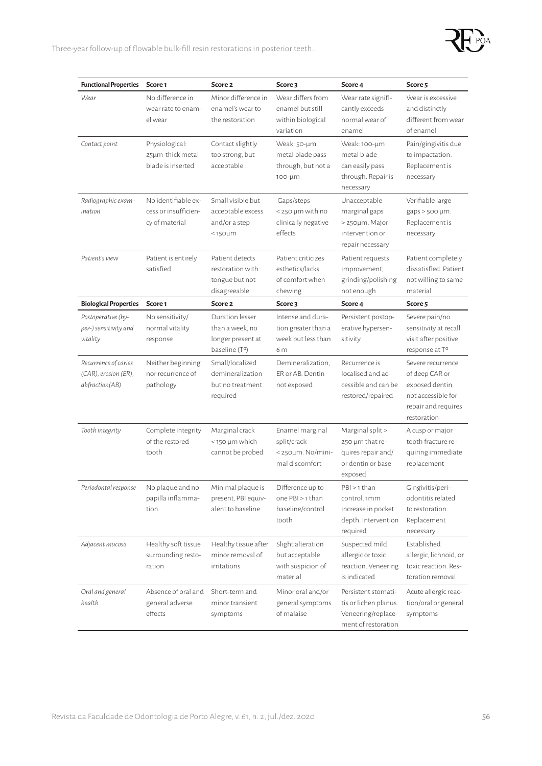Three-year follow-up of flowable bulk-fill resin restorations in posterior teeth...

| <b>Functional Properties</b>                                   | Score <sub>1</sub>                                            | Score <sub>2</sub>                                                         | Score 3                                                                          | Score 4                                                                                   | Score <sub>5</sub>                                                                                                |
|----------------------------------------------------------------|---------------------------------------------------------------|----------------------------------------------------------------------------|----------------------------------------------------------------------------------|-------------------------------------------------------------------------------------------|-------------------------------------------------------------------------------------------------------------------|
| Wear                                                           | No difference in<br>wear rate to enam-<br>el wear             | Minor difference in<br>enamel's wear to<br>the restoration                 | Wear differs from<br>enamel but still<br>within biological<br>variation          | Wear rate signifi-<br>cantly exceeds<br>normal wear of<br>enamel                          | Wear is excessive<br>and distinctly<br>different from wear<br>of enamel                                           |
| Contact point                                                  | Physiological:<br>25µm-thick metal<br>blade is inserted       | Contact slightly<br>too strong, but<br>acceptable                          | Weak: 50-µm<br>metal blade pass<br>through, but not a<br>100-µm                  | Weak: 100-um<br>metal blade<br>can easily pass<br>through. Repair is<br>necessary         | Pain/gingivitis due<br>to impactation.<br>Replacement is<br>necessary                                             |
| Radiographic exam-<br>ination                                  | No identifiable ex-<br>cess or insufficien-<br>cy of material | Small visible but<br>acceptable excess<br>and/or a step<br>$<$ 150 $\mu$ m | Gaps/steps<br>< 250 µm with no<br>clinically negative<br>effects                 | Unacceptable<br>marginal gaps<br>> 250µm. Major<br>intervention or<br>repair necessary    | Verifiable large<br>$gaps > 500 \mu m$ .<br>Replacement is<br>necessary                                           |
| Patient's view                                                 | Patient is entirely<br>satisfied                              | Patient detects<br>restoration with<br>tongue but not<br>disagreeable      | Patient criticizes<br>esthetics/lacks<br>of comfort when<br>chewing              | Patient requests<br>improvement;<br>grinding/polishing<br>not enough                      | Patient completely<br>dissatisfied. Patient.<br>not willing to same<br>material                                   |
| <b>Biological Properties</b>                                   | Score <sub>1</sub>                                            | Score <sub>2</sub>                                                         | Score 3                                                                          | Score 4                                                                                   | Score <sub>5</sub>                                                                                                |
| Postoperative (hy-<br>per-) sensitivity and<br>vitality        | No sensitivity/<br>normal vitality<br>response                | Duration lesser<br>than a week, no<br>longer present at<br>baseline (Tº)   | Intense and dura-<br>tion greater than a<br>week but less than<br>6 <sub>m</sub> | Persistent postop-<br>erative hypersen-<br>sitivity                                       | Severe pain/no<br>sensitivity at recall<br>visit after positive<br>response at T°                                 |
| Recurrence of caries<br>(CAR), erosion (ER),<br>abfraction(AB) | Neither beginning<br>nor recurrence of<br>pathology           | Small/localized<br>demineralization<br>but no treatment<br>required        | Demineralization,<br>ER or AB. Dentin<br>not exposed                             | Recurrence is<br>localised and ac-<br>cessible and can be<br>restored/repaired            | Severe recurrence<br>of deep CAR or<br>exposed dentin<br>not accessible for<br>repair and requires<br>restoration |
| Tooth integrity                                                | Complete integrity<br>of the restored<br>tooth                | Marginal crack<br><150 µm which<br>cannot be probed                        | Enamel marginal<br>split/crack<br>$<$ 250 $\mu$ m. No/mini-<br>mal discomfort    | Marginal split ><br>250 µm that re-<br>quires repair and/<br>or dentin or hase<br>exposed | A cusp or major<br>tooth fracture re-<br>quiring immediate<br>replacement                                         |
| Periodontal response                                           | No plaque and no<br>papilla inflamma-<br>tion                 | Minimal plaque is<br>present, PBI equiv-<br>alent to baseline              | Difference up to<br>one PBI > 1 than<br>baseline/control<br>tooth                | PBI > 1 than<br>control. 1mm<br>increase in pocket<br>depth. Intervention<br>required     | Gingivitis/peri-<br>odontitis related<br>to restoration.<br>Replacement<br>necessary                              |
| Adjacent mucosa                                                | Healthy soft tissue<br>surrounding resto-<br>ration           | Healthy tissue after<br>minor removal of<br>irritations                    | Slight alteration<br>but acceptable<br>with suspicion of<br>material             | Suspected mild<br>allergic or toxic<br>reaction. Veneering<br>is indicated                | Established<br>allergic, lichnoid, or<br>toxic reaction. Res-<br>toration removal                                 |
| Oral and general<br>health                                     | Absence of oral and<br>general adverse<br>effects             | Short-term and<br>minor transient<br>symptoms                              | Minor oral and/or<br>general symptoms<br>of malaise                              | Persistent stomati-<br>tis or lichen planus.<br>Veneering/replace-<br>ment of restoration | Acute allergic reac-<br>tion/oral or general<br>symptoms                                                          |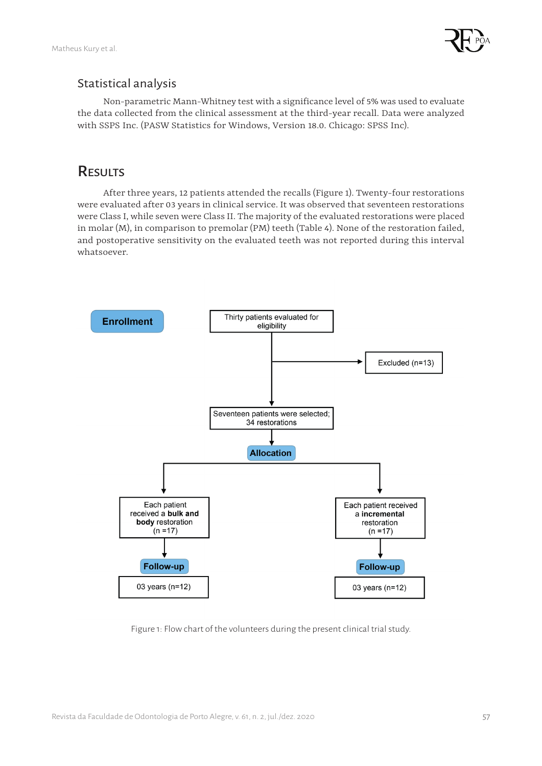

### Statistical analysis

Non-parametric Mann-Whitney test with a significance level of 5% was used to evaluate the data collected from the clinical assessment at the third-year recall. Data were analyzed with SSPS Inc. (PASW Statistics for Windows, Version 18.0. Chicago: SPSS Inc).

# RESULTS

After three years, 12 patients attended the recalls (Figure 1). Twenty-four restorations were evaluated after 03 years in clinical service. It was observed that seventeen restorations were Class I, while seven were Class II. The majority of the evaluated restorations were placed in molar (M), in comparison to premolar (PM) teeth (Table 4). None of the restoration failed, and postoperative sensitivity on the evaluated teeth was not reported during this interval whatsoever.



Figure 1: Flow chart of the volunteers during the present clinical trial study.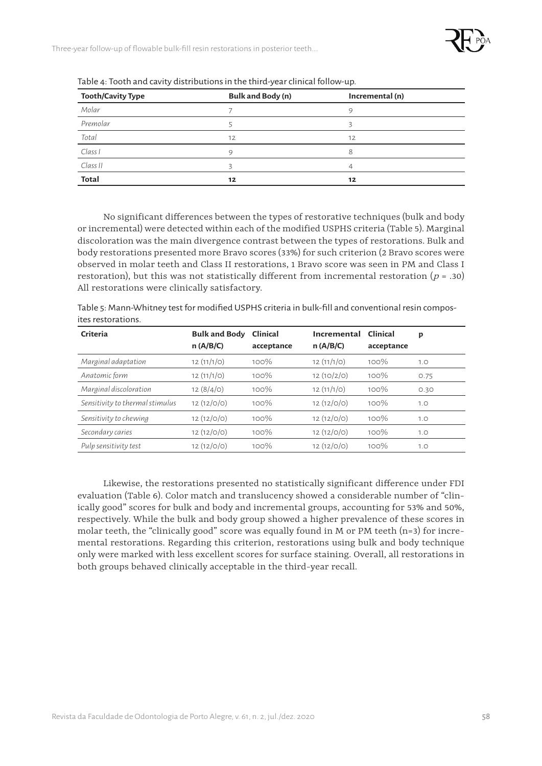

Three-year follow-up of flowable bulk-fill resin restorations in posterior teeth...

| <b>Tooth/Cavity Type</b> | Bulk and Body (n) | Incremental (n) |
|--------------------------|-------------------|-----------------|
| Molar                    |                   | 9               |
| Premolar                 |                   | Э               |
| Total                    | 12                | 12              |
| Class I                  | $\circ$           | 8               |
| Class II                 |                   |                 |
| <b>Total</b>             | 12                | 12              |

Table 4: Tooth and cavity distributions in the third-year clinical follow-up.

No significant differences between the types of restorative techniques (bulk and body or incremental) were detected within each of the modified USPHS criteria (Table 5). Marginal discoloration was the main divergence contrast between the types of restorations. Bulk and body restorations presented more Bravo scores (33%) for such criterion (2 Bravo scores were observed in molar teeth and Class II restorations, 1 Bravo score was seen in PM and Class I restoration), but this was not statistically different from incremental restoration ( $p = .30$ ) All restorations were clinically satisfactory.

Table 5: Mann-Whitney test for modified USPHS criteria in bulk-fill and conventional resin composites restorations.

| Criteria                        | <b>Bulk and Body</b> | Clinical   | Incremental | Clinical   | p    |
|---------------------------------|----------------------|------------|-------------|------------|------|
|                                 | n(A/B/C)             | acceptance | n(A/B/C)    | acceptance |      |
| Marginal adaptation             | 12(11/1/O)           | 100%       | 12(11/1/O)  | 100%       | 1.0  |
| Anatomic form                   | 12(11/1/O)           | 100%       | 12(10/2/0)  | 100%       | 0.75 |
| Marginal discoloration          | 12(8/4/0)            | 100%       | 12(11/1/O)  | 100%       | 0.30 |
| Sensitivity to thermal stimulus | 12(12/O/O)           | 100%       | 12(12/O/O)  | 100%       | 1.0  |
| Sensitivity to chewing          | 12(12/O/O)           | 100%       | 12(12/O/O)  | 100%       | 1.0  |
| Secondary caries                | 12(12/O/O)           | 100%       | 12(12/O/O)  | 100%       | 1.0  |
| Pulp sensitivity test           | 12(12/O/O)           | 100%       | 12(12/O/O)  | 100%       | 1.0  |

Likewise, the restorations presented no statistically significant difference under FDI evaluation (Table 6). Color match and translucency showed a considerable number of "clinically good" scores for bulk and body and incremental groups, accounting for 53% and 50%, respectively. While the bulk and body group showed a higher prevalence of these scores in molar teeth, the "clinically good" score was equally found in M or PM teeth  $(n=3)$  for incremental restorations. Regarding this criterion, restorations using bulk and body technique only were marked with less excellent scores for surface staining. Overall, all restorations in both groups behaved clinically acceptable in the third-year recall.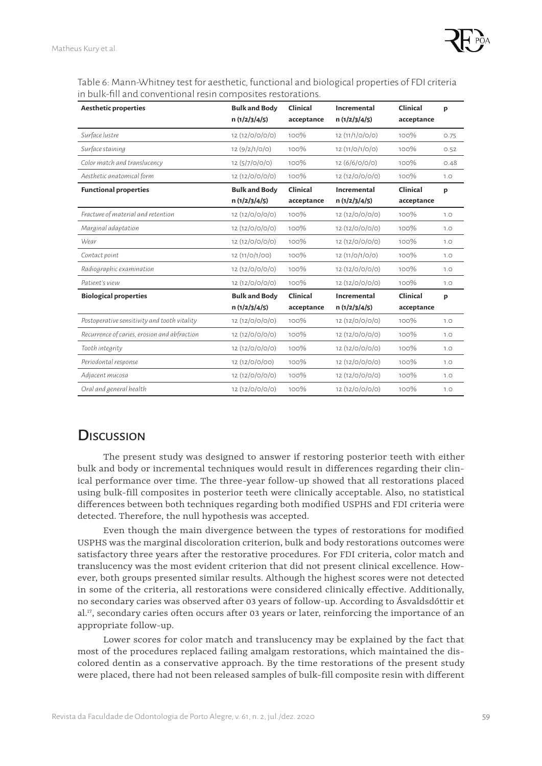

Table 6: Mann-Whitney test for aesthetic, functional and biological properties of FDI criteria in bulk-fill and conventional resin composites restorations.

| <b>Aesthetic properties</b>                  | <b>Bulk and Body</b><br>n(1/2/3/4/5) | Clinical<br>acceptance | Incremental<br>n(1/2/3/4/5) | Clinical<br>acceptance | p    |
|----------------------------------------------|--------------------------------------|------------------------|-----------------------------|------------------------|------|
| Surface lustre                               | 12 (12/0/0/0/0)                      | 100%                   | 12 (11/1/0/0/0)             | 100%                   | 0.75 |
| Surface staining                             | 12(9/2/1/O/O)                        | 100%                   | 12(11/O/1/O/O)              | 100%                   | 0.52 |
| Color match and translucency                 | 12 (5/7/0/0/0)                       | 100%                   | 12 (6/6/0/0/0)              | 100%                   | 0.48 |
| Aesthetic anatomical form                    | 12 (12/0/0/0/0)                      | 100%                   | 12 (12/0/0/0/0)             | 100%                   | 1.0  |
| <b>Functional properties</b>                 | <b>Bulk and Body</b><br>n(1/2/3/4/5) | Clinical<br>acceptance | Incremental<br>n(1/2/3/4/5) | Clinical<br>acceptance | p    |
| Fracture of material and retention           | 12 (12/0/0/0/0)                      | 100%                   | 12 (12/0/0/0/0)             | 100%                   | 1.0  |
| Marginal adaptation                          | 12 (12/0/0/0/0)                      | 100%                   | 12 (12/0/0/0/0)             | 100%                   | 1.0  |
| Wear                                         | 12 (12/0/0/0/0)                      | 100%                   | 12 (12/0/0/0/0)             | 100%                   | 1.0  |
| Contact point                                | 12 (11/0/1/00)                       | 100%                   | 12(11/O/1/O/O)              | 100%                   | 1.0  |
| Radiographic examination                     | 12 (12/0/0/0/0)                      | 100%                   | 12 (12/0/0/0/0)             | 100%                   | 1.0  |
| Patient's view                               | 12 (12/0/0/0/0)                      | 100%                   | 12 (12/0/0/0/0)             | 100%                   | 1.0  |
| <b>Biological properties</b>                 | <b>Bulk and Body</b><br>n(1/2/3/4/5) | Clinical<br>acceptance | Incremental<br>n(1/2/3/4/5) | Clinical<br>acceptance | p    |
| Postoperative sensitivity and tooth vitality | 12 (12/0/0/0/0)                      | 100%                   | 12 (12/0/0/0/0)             | 100%                   | 1.0  |
| Recurrence of caries, erosion and abfraction | 12 (12/0/0/0/0)                      | 100%                   | 12 (12/0/0/0/0)             | 100%                   | 1.0  |
| Tooth integrity                              | 12 (12/0/0/0/0)                      | 100%                   | 12 (12/0/0/0/0)             | 100%                   | 1.0  |
| Periodontal response                         | 12 (12/0/0/00)                       | 100%                   | 12 (12/0/0/0/0)             | 100%                   | 1.0  |
| Adjacent mucosa                              | 12 (12/0/0/0/0)                      | 100%                   | 12 (12/0/0/0/0)             | 100%                   | 1.0  |
| Oral and general health                      | 12 (12/0/0/0/0)                      | 100%                   | 12 (12/0/0/0/0)             | 100%                   | 1.0  |

# **Discussion**

The present study was designed to answer if restoring posterior teeth with either bulk and body or incremental techniques would result in differences regarding their clinical performance over time. The three-year follow-up showed that all restorations placed using bulk-fill composites in posterior teeth were clinically acceptable. Also, no statistical differences between both techniques regarding both modified USPHS and FDI criteria were detected. Therefore, the null hypothesis was accepted.

Even though the main divergence between the types of restorations for modified USPHS was the marginal discoloration criterion, bulk and body restorations outcomes were satisfactory three years after the restorative procedures. For FDI criteria, color match and translucency was the most evident criterion that did not present clinical excellence. However, both groups presented similar results. Although the highest scores were not detected in some of the criteria, all restorations were considered clinically effective. Additionally, no secondary caries was observed after 03 years of follow-up. According to Ásvaldsdóttir et al.<sup>17</sup>, secondary caries often occurs after 03 years or later, reinforcing the importance of an appropriate follow-up.

Lower scores for color match and translucency may be explained by the fact that most of the procedures replaced failing amalgam restorations, which maintained the discolored dentin as a conservative approach. By the time restorations of the present study were placed, there had not been released samples of bulk-fill composite resin with different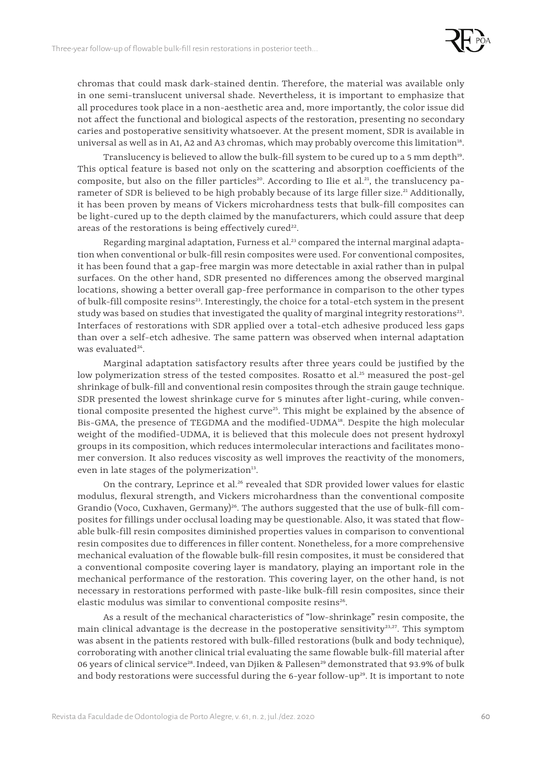

chromas that could mask dark-stained dentin. Therefore, the material was available only in one semi-translucent universal shade. Nevertheless, it is important to emphasize that all procedures took place in a non-aesthetic area and, more importantly, the color issue did not affect the functional and biological aspects of the restoration, presenting no secondary caries and postoperative sensitivity whatsoever. At the present moment, SDR is available in universal as well as in A1, A2 and A3 chromas, which may probably overcome this limitation<sup>18</sup>.

Translucency is believed to allow the bulk-fill system to be cured up to a 5 mm depth<sup>19</sup>. This optical feature is based not only on the scattering and absorption coefficients of the composite, but also on the filler particles<sup>20</sup>. According to Ilie et al.<sup>21</sup>, the translucency parameter of SDR is believed to be high probably because of its large filler size.<sup>21</sup> Additionally, it has been proven by means of Vickers microhardness tests that bulk-fill composites can be light-cured up to the depth claimed by the manufacturers, which could assure that deep areas of the restorations is being effectively cured<sup>22</sup>.

Regarding marginal adaptation, Furness et al.<sup>23</sup> compared the internal marginal adaptation when conventional or bulk-fill resin composites were used. For conventional composites, it has been found that a gap-free margin was more detectable in axial rather than in pulpal surfaces. On the other hand, SDR presented no differences among the observed marginal locations, showing a better overall gap-free performance in comparison to the other types of bulk-fill composite resins<sup>23</sup>. Interestingly, the choice for a total-etch system in the present study was based on studies that investigated the quality of marginal integrity restorations $^{23}$ . Interfaces of restorations with SDR applied over a total-etch adhesive produced less gaps than over a self-etch adhesive. The same pattern was observed when internal adaptation was evaluated<sup>24</sup>.

Marginal adaptation satisfactory results after three years could be justified by the low polymerization stress of the tested composites. Rosatto et al.<sup>25</sup> measured the post-gel shrinkage of bulk-fill and conventional resin composites through the strain gauge technique. SDR presented the lowest shrinkage curve for 5 minutes after light-curing, while conventional composite presented the highest curve<sup>25</sup>. This might be explained by the absence of Bis-GMA, the presence of TEGDMA and the modified-UDMA<sup>18</sup>. Despite the high molecular weight of the modified-UDMA, it is believed that this molecule does not present hydroxyl groups in its composition, which reduces intermolecular interactions and facilitates monomer conversion. It also reduces viscosity as well improves the reactivity of the monomers, even in late stages of the polymerization<sup>13</sup>.

On the contrary, Leprince et al.<sup>26</sup> revealed that SDR provided lower values for elastic modulus, flexural strength, and Vickers microhardness than the conventional composite Grandio (Voco, Cuxhaven, Germany)<sup>26</sup>. The authors suggested that the use of bulk-fill composites for fillings under occlusal loading may be questionable. Also, it was stated that flowable bulk-fill resin composites diminished properties values in comparison to conventional resin composites due to differences in filler content. Nonetheless, for a more comprehensive mechanical evaluation of the flowable bulk-fill resin composites, it must be considered that a conventional composite covering layer is mandatory, playing an important role in the mechanical performance of the restoration. This covering layer, on the other hand, is not necessary in restorations performed with paste-like bulk-fill resin composites, since their elastic modulus was similar to conventional composite resins<sup>26</sup>.

As a result of the mechanical characteristics of "low-shrinkage" resin composite, the main clinical advantage is the decrease in the postoperative sensitivity<sup>23,27</sup>. This symptom was absent in the patients restored with bulk-filled restorations (bulk and body technique), corroborating with another clinical trial evaluating the same flowable bulk-fill material after 06 years of clinical service<sup>28</sup>. Indeed, van Djiken & Pallesen<sup>29</sup> demonstrated that 93.9% of bulk and body restorations were successful during the  $6$ -year follow-up<sup>29</sup>. It is important to note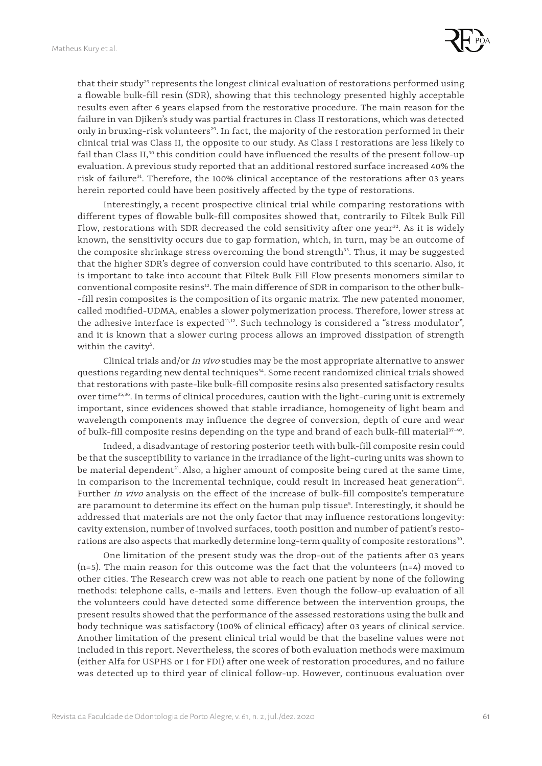

that their study<sup>29</sup> represents the longest clinical evaluation of restorations performed using a flowable bulk-fill resin (SDR), showing that this technology presented highly acceptable results even after 6 years elapsed from the restorative procedure. The main reason for the failure in van Djiken's study was partial fractures in Class II restorations, which was detected only in bruxing-risk volunteers<sup>29</sup>. In fact, the majority of the restoration performed in their clinical trial was Class II, the opposite to our study. As Class I restorations are less likely to fail than Class II,<sup>30</sup> this condition could have influenced the results of the present follow-up evaluation. A previous study reported that an additional restored surface increased 40% the risk of failure<sup>31</sup>. Therefore, the 100% clinical acceptance of the restorations after 03 years herein reported could have been positively affected by the type of restorations.

Interestingly, a recent prospective clinical trial while comparing restorations with different types of flowable bulk-fill composites showed that, contrarily to Filtek Bulk Fill Flow, restorations with SDR decreased the cold sensitivity after one year $32$ . As it is widely known, the sensitivity occurs due to gap formation, which, in turn, may be an outcome of the composite shrinkage stress overcoming the bond strength $33$ . Thus, it may be suggested that the higher SDR's degree of conversion could have contributed to this scenario. Also, it is important to take into account that Filtek Bulk Fill Flow presents monomers similar to conventional composite resins<sup>12</sup>. The main difference of SDR in comparison to the other bulk--fill resin composites is the composition of its organic matrix. The new patented monomer, called modified-UDMA, enables a slower polymerization process. Therefore, lower stress at the adhesive interface is expected<sup>11,12</sup>. Such technology is considered a "stress modulator", and it is known that a slower curing process allows an improved dissipation of strength within the cavity<sup>5</sup>.

Clinical trials and/or in vivo studies may be the most appropriate alternative to answer questions regarding new dental techniques<sup>34</sup>. Some recent randomized clinical trials showed that restorations with paste-like bulk-fill composite resins also presented satisfactory results over time<sup>35,36</sup>. In terms of clinical procedures, caution with the light-curing unit is extremely important, since evidences showed that stable irradiance, homogeneity of light beam and wavelength components may influence the degree of conversion, depth of cure and wear of bulk-fill composite resins depending on the type and brand of each bulk-fill material<sup>37-40</sup>.

Indeed, a disadvantage of restoring posterior teeth with bulk-fill composite resin could be that the susceptibility to variance in the irradiance of the light-curing units was shown to be material dependent<sup>21</sup>. Also, a higher amount of composite being cured at the same time, in comparison to the incremental technique, could result in increased heat generation<sup>41</sup>. Further in vivo analysis on the effect of the increase of bulk-fill composite's temperature are paramount to determine its effect on the human pulp tissue<sup>s</sup>. Interestingly, it should be addressed that materials are not the only factor that may influence restorations longevity: cavity extension, number of involved surfaces, tooth position and number of patient's restorations are also aspects that markedly determine long-term quality of composite restorations<sup>30</sup>.

One limitation of the present study was the drop-out of the patients after 03 years  $(n=5)$ . The main reason for this outcome was the fact that the volunteers  $(n=4)$  moved to other cities. The Research crew was not able to reach one patient by none of the following methods: telephone calls, e-mails and letters. Even though the follow-up evaluation of all the volunteers could have detected some difference between the intervention groups, the present results showed that the performance of the assessed restorations using the bulk and body technique was satisfactory (100% of clinical efficacy) after 03 years of clinical service. Another limitation of the present clinical trial would be that the baseline values were not included in this report. Nevertheless, the scores of both evaluation methods were maximum (either Alfa for USPHS or 1 for FDI) after one week of restoration procedures, and no failure was detected up to third year of clinical follow-up. However, continuous evaluation over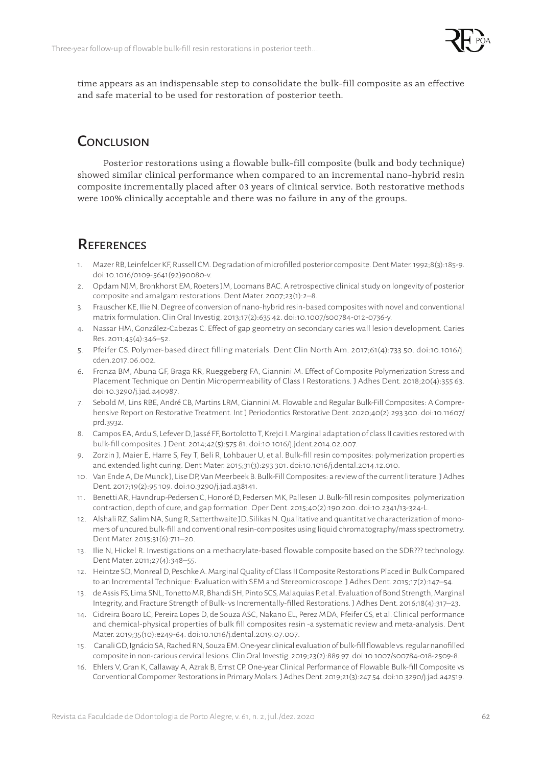

time appears as an indispensable step to consolidate the bulk-fill composite as an effective and safe material to be used for restoration of posterior teeth.

## **CONCLUSION**

Posterior restorations using a flowable bulk-fill composite (bulk and body technique) showed similar clinical performance when compared to an incremental nano-hybrid resin composite incrementally placed after 03 years of clinical service. Both restorative methods were 100% clinically acceptable and there was no failure in any of the groups.

### **REFERENCES**

- 1. Mazer RB, Leinfelder KF, Russell CM. Degradation of microfilled posterior composite. Dent Mater. 1992;8(3):185-9. doi:10.1016/0109-5641(92)90080-v.
- 2. Opdam NJM, Bronkhorst EM, Roeters JM, Loomans BAC. A retrospective clinical study on longevity of posterior composite and amalgam restorations. Dent Mater. 2007;23(1):2–8.
- 3. Frauscher KE, Ilie N. Degree of conversion of nano-hybrid resin-based composites with novel and conventional matrix formulation. Clin Oral Investig. 2013;17(2):635 42. doi:10.1007/s00784-012-0736-y.
- 4. Nassar HM, González-Cabezas C. Effect of gap geometry on secondary caries wall lesion development. Caries Res. 2011;45(4):346–52.
- 5. Pfeifer CS. Polymer-based direct filling materials. Dent Clin North Am. 2017;61(4):733 50. doi:10.1016/j. cden.2017.06.002.
- 6. Fronza BM, Abuna GF, Braga RR, Rueggeberg FA, Giannini M. Effect of Composite Polymerization Stress and Placement Technique on Dentin Micropermeability of Class I Restorations. J Adhes Dent. 2018;20(4):355 63. doi:10.3290/j.jad.a40987.
- 7. Sebold M, Lins RBE, André CB, Martins LRM, Giannini M. Flowable and Regular Bulk-Fill Composites: A Comprehensive Report on Restorative Treatment. Int J Periodontics Restorative Dent. 2020;40(2):293 300. doi:10.11607/ prd.3932.
- 8. Campos EA, Ardu S, Lefever D, Jassé FF, Bortolotto T, Krejci I. Marginal adaptation of class II cavities restored with bulk-fill composites. J Dent. 2014;42(5):575‐81. doi:10.1016/j.jdent.2014.02.007.
- 9. Zorzin J, Maier E, Harre S, Fey T, Beli R, Lohbauer U, et al. Bulk-fill resin composites: polymerization properties and extended light curing. Dent Mater. 2015;31(3):293 301. doi:10.1016/j.dental.2014.12.010.
- 10. Van Ende A, De Munck J, Lise DP, Van Meerbeek B. Bulk-Fill Composites: a review of the current literature. J Adhes Dent. 2017;19(2):95‐109. doi:10.3290/j.jad.a38141.
- 11. Benetti AR, Havndrup-Pedersen C, Honoré D, Pedersen MK, Pallesen U. Bulk-fill resin composites: polymerization contraction, depth of cure, and gap formation. Oper Dent. 2015;40(2):190 200. doi:10.2341/13-324-L.
- 12. Alshali RZ, Salim NA, Sung R, Satterthwaite JD, Silikas N. Qualitative and quantitative characterization of monomers of uncured bulk-fill and conventional resin-composites using liquid chromatography/mass spectrometry. Dent Mater. 2015;31(6):711–20.
- 13. Ilie N, Hickel R. Investigations on a methacrylate-based flowable composite based on the SDR??? technology. Dent Mater. 2011;27(4):348–55.
- 12. Heintze SD, Monreal D, Peschke A. Marginal Quality of Class II Composite Restorations Placed in Bulk Compared to an Incremental Technique: Evaluation with SEM and Stereomicroscope. J Adhes Dent. 2015;17(2):147–54.
- 13. de Assis FS, Lima SNL, Tonetto MR, Bhandi SH, Pinto SCS, Malaquias P, et al. Evaluation of Bond Strength, Marginal Integrity, and Fracture Strength of Bulk- vs Incrementally-filled Restorations. J Adhes Dent. 2016;18(4):317–23.
- 14. Cidreira Boaro LC, Pereira Lopes D, de Souza ASC, Nakano EL, Perez MDA, Pfeifer CS, et al. Clinical performance and chemical-physical properties of bulk fill composites resin -a systematic review and meta-analysis. Dent Mater. 2019;35(10):e249-64. doi:10.1016/j.dental.2019.07.007.
- 15. Canali GD, Ignácio SA, Rached RN, Souza EM. One-year clinical evaluation of bulk-fill flowable vs. regular nanofilled composite in non-carious cervical lesions. Clin Oral Investig. 2019;23(2):889 97. doi:10.1007/s00784-018-2509-8.
- 16. Ehlers V, Gran K, Callaway A, Azrak B, Ernst CP. One-year Clinical Performance of Flowable Bulk-fill Composite vs Conventional Compomer Restorations in Primary Molars. J Adhes Dent. 2019;21(3):247‐54. doi:10.3290/j.jad.a42519.